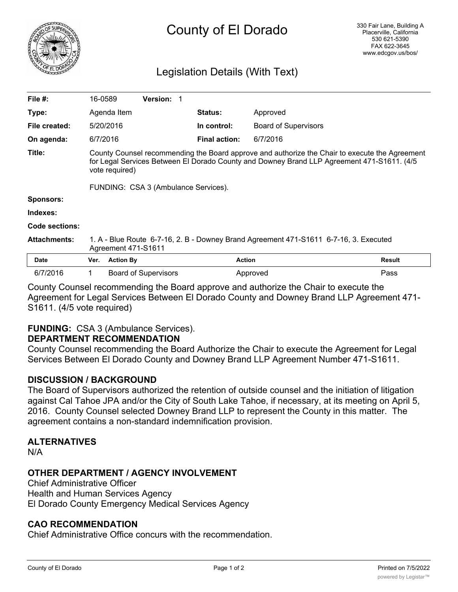

# Legislation Details (With Text)

| File $#$ :          | 16-0589                                                                                                                                                                                                         |                  | Version: 1                  |                      |                             |        |
|---------------------|-----------------------------------------------------------------------------------------------------------------------------------------------------------------------------------------------------------------|------------------|-----------------------------|----------------------|-----------------------------|--------|
| Type:               |                                                                                                                                                                                                                 | Agenda Item      |                             | <b>Status:</b>       | Approved                    |        |
| File created:       |                                                                                                                                                                                                                 | 5/20/2016        |                             | In control:          | <b>Board of Supervisors</b> |        |
| On agenda:          | 6/7/2016                                                                                                                                                                                                        |                  |                             | <b>Final action:</b> | 6/7/2016                    |        |
| Title:              | County Counsel recommending the Board approve and authorize the Chair to execute the Agreement<br>for Legal Services Between El Dorado County and Downey Brand LLP Agreement 471-S1611. (4/5)<br>vote required) |                  |                             |                      |                             |        |
|                     | FUNDING: CSA 3 (Ambulance Services).                                                                                                                                                                            |                  |                             |                      |                             |        |
| <b>Sponsors:</b>    |                                                                                                                                                                                                                 |                  |                             |                      |                             |        |
| Indexes:            |                                                                                                                                                                                                                 |                  |                             |                      |                             |        |
| Code sections:      |                                                                                                                                                                                                                 |                  |                             |                      |                             |        |
| <b>Attachments:</b> | 1. A - Blue Route 6-7-16, 2. B - Downey Brand Agreement 471-S1611 6-7-16, 3. Executed<br>Agreement 471-S1611                                                                                                    |                  |                             |                      |                             |        |
| <b>Date</b>         | Ver.                                                                                                                                                                                                            | <b>Action By</b> |                             | <b>Action</b>        |                             | Result |
| 6/7/2016            | 1.                                                                                                                                                                                                              |                  | <b>Board of Supervisors</b> |                      | Approved                    | Pass   |

County Counsel recommending the Board approve and authorize the Chair to execute the Agreement for Legal Services Between El Dorado County and Downey Brand LLP Agreement 471- S1611. (4/5 vote required)

# **FUNDING:** CSA 3 (Ambulance Services).

# **DEPARTMENT RECOMMENDATION**

County Counsel recommending the Board Authorize the Chair to execute the Agreement for Legal Services Between El Dorado County and Downey Brand LLP Agreement Number 471-S1611.

# **DISCUSSION / BACKGROUND**

The Board of Supervisors authorized the retention of outside counsel and the initiation of litigation against Cal Tahoe JPA and/or the City of South Lake Tahoe, if necessary, at its meeting on April 5, 2016. County Counsel selected Downey Brand LLP to represent the County in this matter. The agreement contains a non-standard indemnification provision.

# **ALTERNATIVES**

N/A

# **OTHER DEPARTMENT / AGENCY INVOLVEMENT**

Chief Administrative Officer Health and Human Services Agency El Dorado County Emergency Medical Services Agency

#### **CAO RECOMMENDATION**

Chief Administrative Office concurs with the recommendation.